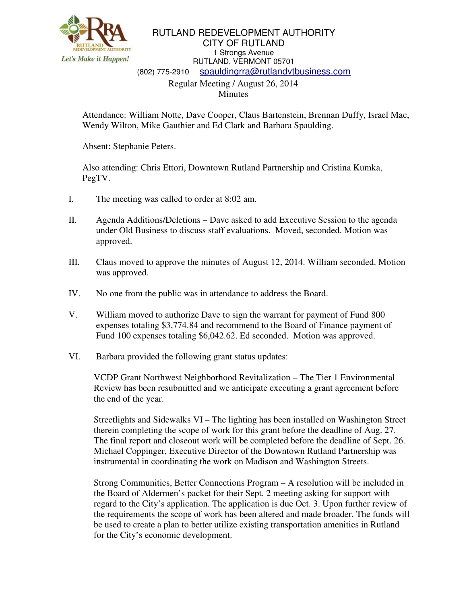

## RUTLAND REDEVELOPMENT AUTHORITY CITY OF RUTLAND 1 Strongs Avenue RUTLAND, VERMONT 05701 (802) 775-2910 spauldingrra@rutlandvtbusiness.com Regular Meeting / August 26, 2014

Minutes

Attendance: William Notte, Dave Cooper, Claus Bartenstein, Brennan Duffy, Israel Mac, Wendy Wilton, Mike Gauthier and Ed Clark and Barbara Spaulding.

Absent: Stephanie Peters.

Also attending: Chris Ettori, Downtown Rutland Partnership and Cristina Kumka, PegTV.

- I. The meeting was called to order at 8:02 am.
- II. Agenda Additions/Deletions Dave asked to add Executive Session to the agenda under Old Business to discuss staff evaluations. Moved, seconded. Motion was approved.
- III. Claus moved to approve the minutes of August 12, 2014. William seconded. Motion was approved.
- IV. No one from the public was in attendance to address the Board.
- V. William moved to authorize Dave to sign the warrant for payment of Fund 800 expenses totaling \$3,774.84 and recommend to the Board of Finance payment of Fund 100 expenses totaling \$6,042.62. Ed seconded. Motion was approved.
- VI. Barbara provided the following grant status updates:

VCDP Grant Northwest Neighborhood Revitalization – The Tier 1 Environmental Review has been resubmitted and we anticipate executing a grant agreement before the end of the year.

Streetlights and Sidewalks VI – The lighting has been installed on Washington Street therein completing the scope of work for this grant before the deadline of Aug. 27. The final report and closeout work will be completed before the deadline of Sept. 26. Michael Coppinger, Executive Director of the Downtown Rutland Partnership was instrumental in coordinating the work on Madison and Washington Streets.

Strong Communities, Better Connections Program – A resolution will be included in the Board of Aldermen's packet for their Sept. 2 meeting asking for support with regard to the City's application. The application is due Oct. 3. Upon further review of the requirements the scope of work has been altered and made broader. The funds will be used to create a plan to better utilize existing transportation amenities in Rutland for the City's economic development.